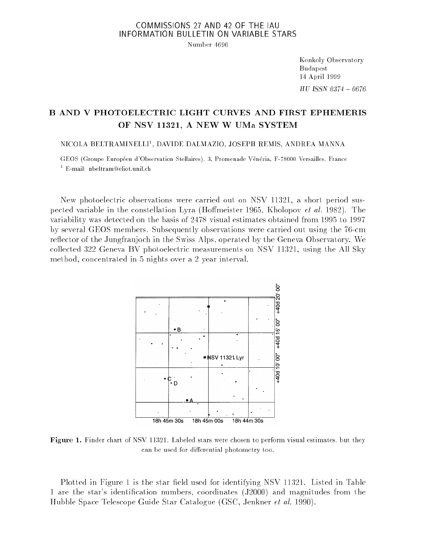## COMMISSIONS 27 AND 42 OF THE IAU INFORMATION BULLETIN ON VARIABLE STARS

Number 4696

Konkoly Observatory Budapest 14 April 1999  $HU$  ISSN  $0374 - 0676$ 

## B AND V PHOTOELECTRIC LIGHT CURVES AND FIRST EPHEMERIS OF NSV 11321, A NEW W UMa SYSTEM

NICOLA BELTRAMINELLI1 , DAVIDE DALMAZIO, JOSEPH REMIS, ANDREA MANNA

GEOS (Groupe Européen d'Observation Stellaires), 3, Promenade Vénézia, F-78000 Versailles, France <sup>1</sup> E-mail: nbeltram@eliot.unil.ch

New photoelectric observations were carried out on NSV 11321, a short period suspected variable in the constellation Lyra (Hoffmeister 1965, Kholopov *et al.* 1982). The variability was detected on the basis of 2478 visual estimates obtained from 1995 to 1997 by several GEOS members. Subsequently observations were carried out using the 76-cm reflector of the Jungfraujoch in the Swiss Alps, operated by the Geneva Observatory. We collected 322 Geneva BV photoelectric measurements on NSV 11321, using the All Sky method, concentrated in 5 nights over a 2 year interval.



Figure 1. Finder chart of NSV 11321. Labeled stars were chosen to perform visual estimates, but they can be used for differential photometry too.

Plotted in Figure 1 is the star field used for identifying NSV 11321. Listed in Table 1 are the star's identication numbers, coordinates (J2000) and magnitudes from the Hubble Space Telescope Guide Star Catalogue (GSC, Jenkner et al. 1990).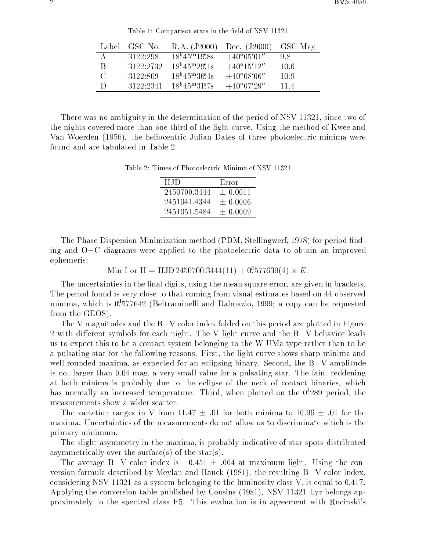| Label    | GSC No.   | R.A. (J2000)                             | Dec. $(J2000)$       | GSC Mag |
|----------|-----------|------------------------------------------|----------------------|---------|
| $\Delta$ | 3122:298  | $18^{\rm h}45^{\rm m}19^{\rm s}8s$       | $+40^{\circ}05'01''$ | -9.8    |
| B        | 3122:2732 | $18^{\rm h}45^{\rm m}29^{\rm s}1\rm s$   | $+40^{\circ}15'12''$ | -10.6   |
| $\cap$   | 3122:809  | $18^{\rm h}45^{\rm m}36^{\rm s}4s$       | $+40^{\circ}08'06''$ | 10.9    |
| Ð        | 3122:2341 | $18^{\rm h}45^{\rm m}31^{\rm s}7{\rm s}$ | $+40^{\circ}07'29''$ | 114     |

Table 1: Comparison stars in the field of NSV 11321

There was no ambiguity in the determination of the period of NSV 11321, since two of the nights covered more than one third of the light curve. Using the method of Kwee and Van Woerden (1956), the heliocentric Julian Dates of three photoelectric minima were found and are tabulated in Table 2.

Table 2: Times of Photoelectric Minima of NSV 11321

| H.ID         | Error        |
|--------------|--------------|
| 2450700.3444 | $\pm 0.0011$ |
| 2451041.4344 | $+ 0.0006$   |
| 2451051.5484 | $\pm 0.0009$ |

The Phase Dispersion Minimization method (PDM, Stellingwerf, 1978) for period finding and  $O-C$  diagrams were applied to the photoelectric data to obtain an improved ephemeris:

MIII 1 OF II =  $\pi$ JD 2450700.3444(11) + 0.377039(4) × E.

The uncertainties in the final digits, using the mean square error, are given in brackets. The period found is very close to that coming from visual estimates based on 44 observed minima, which is 0: <sup>d</sup> 577642 (Beltraminelli and Dalmazio, 1999; a copy can be requested from the GEOS).

The V magnitudes and the  $B-V$  color index folded on this period are plotted in Figure 2 with different symbols for each night. The V light curve and the  $B-V$  behavior leads us to expect this to be a contact system belonging to the W UMa type rather than to be a pulsating star for the following reasons. First, the light curve shows sharp minima and well rounded maxima, as expected for an eclipsing binary. Second, the  $B-V$  amplitude is not larger than 0.04 mag, a very small value for a pulsating star. The faint reddening at both minima is probably due to the eclipse of the neck of contact binaries, which has normally an increased temperature. Third, when plotted on the 0: <sup>d</sup> 289 period, the measurements show a wider scatter.

The variation ranges in V from 11.47  $\pm$  0.01 for both minima to 10.96  $\pm$  0.01 for the maxima. Uncertainties of the measurements do not allow us to discriminate which is the primary minimum.

The slight asymmetry in the maxima, is probably indicative of star spots distributed asymmetrically over the surface(s) of the star(s).

The average B-V color index is  $-0.451 \pm .004$  at maximum light. Using the conversion formula described by Meylan and Hauck (1981), the resulting  $B-V$  color index, considering NSV 11321 as a system belonging to the luminosity class V, is equal to 0.417. Applying the conversion table published by Cousins (1981), NSV 11321 Lyr belongs approximately to the spectral class F5. This evaluation is in agreement with Rucinski's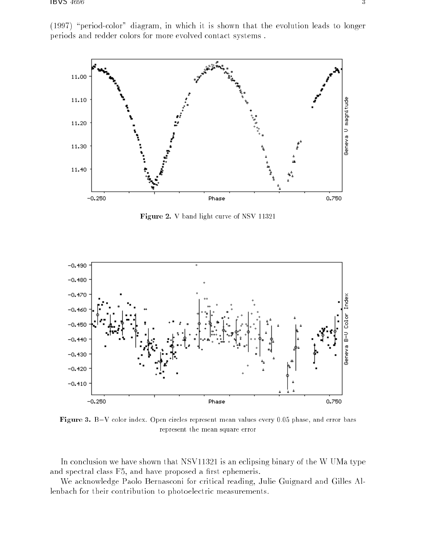

 $(1997)$  "period-color" diagram, in which it is shown that the evolution leads to longer periods and redder colors for more evolved contact systems .

Figure 2. V band light curve of NSV 11321



Figure 3. BV color index. Open circles represent mean values every 0.05 phase, and error bars represent the mean square error

In conclusion we have shown that NSV11321 is an eclipsing binary of the W UMa type and spectral class F5, and have proposed a first ephemeris.

We acknowledge Paolo Bernasconi for critical reading, Julie Guignard and Gilles Allenbach for their contribution to photoelectric measurements.